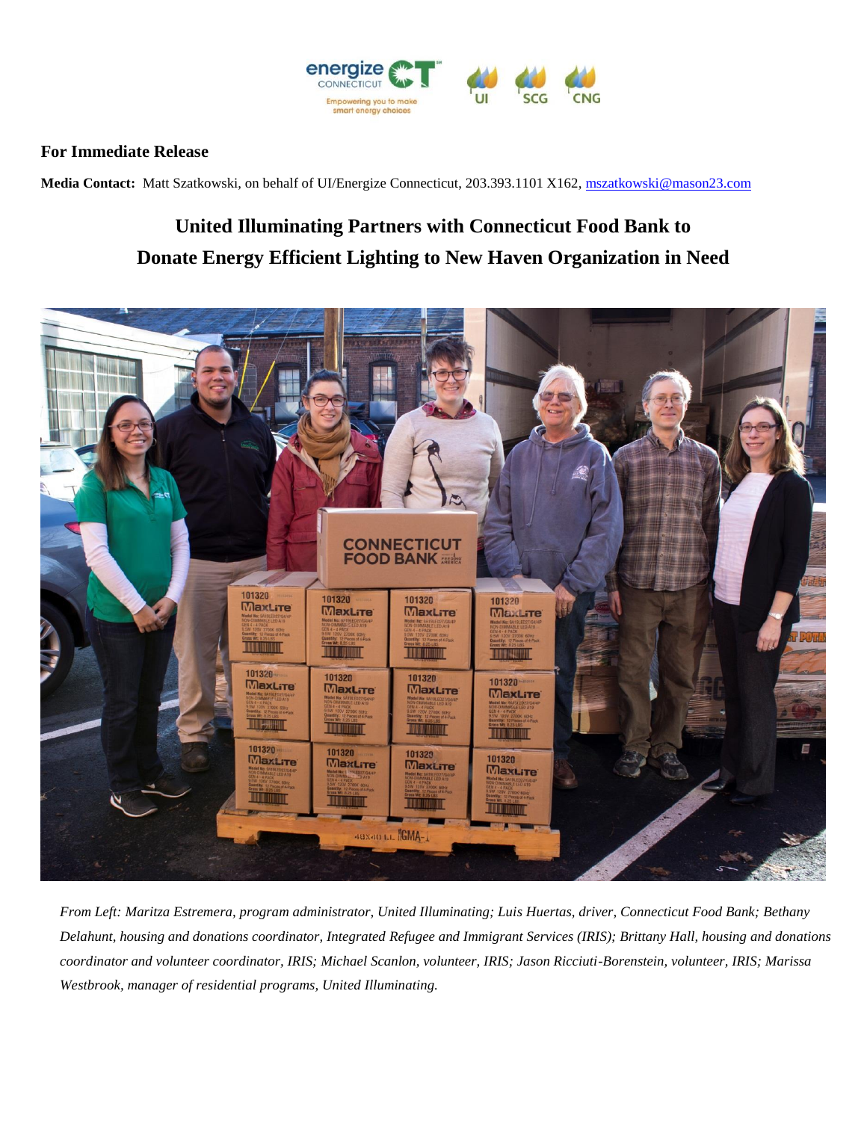

## **For Immediate Release**

**Media Contact:** Matt Szatkowski, on behalf of UI/Energize Connecticut, 203.393.1101 X162[, mszatkowski@mason23.com](mailto:mszatkowski@mason23.com)

## **United Illuminating Partners with Connecticut Food Bank to Donate Energy Efficient Lighting to New Haven Organization in Need**



*From Left: Maritza Estremera, program administrator, United Illuminating; Luis Huertas, driver, Connecticut Food Bank; Bethany Delahunt, housing and donations coordinator, Integrated Refugee and Immigrant Services (IRIS); Brittany Hall, housing and donations coordinator and volunteer coordinator, IRIS; Michael Scanlon, volunteer, IRIS; Jason Ricciuti-Borenstein, volunteer, IRIS; Marissa Westbrook, manager of residential programs, United Illuminating.*